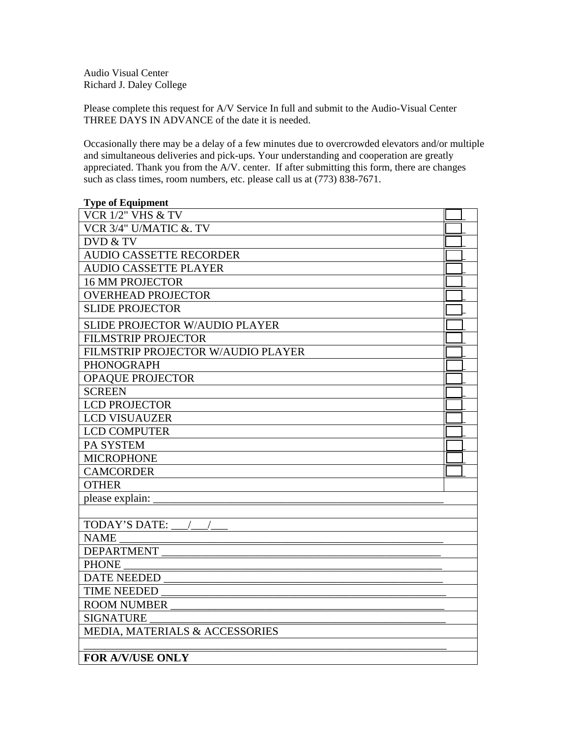Audio Visual Center Richard J. Daley College

Please complete this request for A/V Service In full and submit to the Audio-Visual Center THREE DAYS IN ADVANCE of the date it is needed.

Occasionally there may be a delay of a few minutes due to overcrowded elevators and/or multiple and simultaneous deliveries and pick-ups. Your understanding and cooperation are greatly appreciated. Thank you from the A/V. center. If after submitting this form, there are changes such as class times, room numbers, etc. please call us at (773) 838-7671.

| <b>Type of Equipment</b>           |  |
|------------------------------------|--|
| <b>VCR 1/2" VHS &amp; TV</b>       |  |
| VCR 3/4" U/MATIC &. TV             |  |
| DVD & TV                           |  |
| <b>AUDIO CASSETTE RECORDER</b>     |  |
| <b>AUDIO CASSETTE PLAYER</b>       |  |
| <b>16 MM PROJECTOR</b>             |  |
| <b>OVERHEAD PROJECTOR</b>          |  |
| <b>SLIDE PROJECTOR</b>             |  |
| SLIDE PROJECTOR W/AUDIO PLAYER     |  |
| <b>FILMSTRIP PROJECTOR</b>         |  |
| FILMSTRIP PROJECTOR W/AUDIO PLAYER |  |
| <b>PHONOGRAPH</b>                  |  |
| <b>OPAQUE PROJECTOR</b>            |  |
| <b>SCREEN</b>                      |  |
| <b>LCD PROJECTOR</b>               |  |
| <b>LCD VISUAUZER</b>               |  |
| <b>LCD COMPUTER</b>                |  |
| <b>PA SYSTEM</b>                   |  |
| <b>MICROPHONE</b>                  |  |
| <b>CAMCORDER</b>                   |  |
| <b>OTHER</b>                       |  |
| please explain:                    |  |
|                                    |  |
| <b>TODAY'S DATE:</b>               |  |
| <b>NAME</b>                        |  |
| <b>DEPARTMENT</b>                  |  |
| <b>PHONE</b>                       |  |
| <b>DATE NEEDED</b>                 |  |
| <b>TIME NEEDED</b>                 |  |
| <b>ROOM NUMBER</b>                 |  |
| <b>SIGNATURE</b>                   |  |
| MEDIA, MATERIALS & ACCESSORIES     |  |
|                                    |  |
| <b>FOR A/V/USE ONLY</b>            |  |